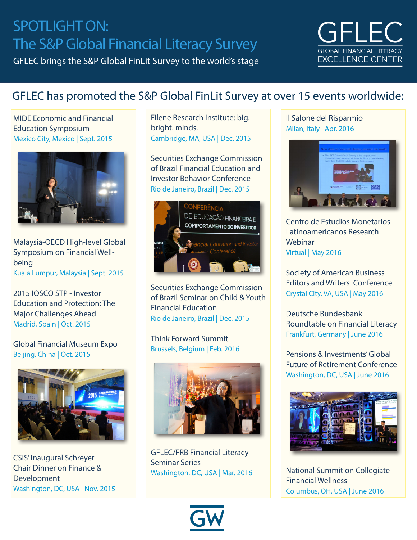# SPOTLIGHT ON: The S&P Global Financial Literacy Survey

GFLEC brings the S&P Global FinLit Survey to the world's stage



### GFLEC has promoted the S&P Global FinLit Survey at over 15 events worldwide:

MIDE Economic and Financial Education Symposium Mexico City, Mexico | Sept. 2015



Malaysia-OECD High-level Global Symposium on Financial Wellbeing Kuala Lumpur, Malaysia | Sept. 2015

2015 IOSCO STP - Investor Education and Protection: The Major Challenges Ahead Madrid, Spain | Oct. 2015

Global Financial Museum Expo Beijing, China | Oct. 2015



CSIS' Inaugural Schreyer Chair Dinner on Finance & Development Washington, DC, USA | Nov. 2015

Filene Research Institute: big. bright. minds. Cambridge, MA, USA | Dec. 2015

Securities Exchange Commission of Brazil Financial Education and Investor Behavior Conference Rio de Janeiro, Brazil | Dec. 2015



Securities Exchange Commission of Brazil Seminar on Child & Youth Financial Education Rio de Janeiro, Brazil | Dec. 2015

Think Forward Summit Brussels, Belgium | Feb. 2016



GFLEC/FRB Financial Literacy Seminar Series Washington, DC, USA | Mar. 2016



#### Il Salone del Risparmio Milan, Italy | Apr. 2016



Centro de Estudios Monetarios Latinoamericanos Research Webinar Virtual | May 2016

Society of American Business Editors and Writers Conference Crystal City, VA, USA | May 2016

Deutsche Bundesbank Roundtable on Financial Literacy Frankfurt, Germany | June 2016

Pensions & Investments' Global Future of Retirement Conference Washington, DC, USA | June 2016



National Summit on Collegiate Financial Wellness Columbus, OH, USA | June 2016